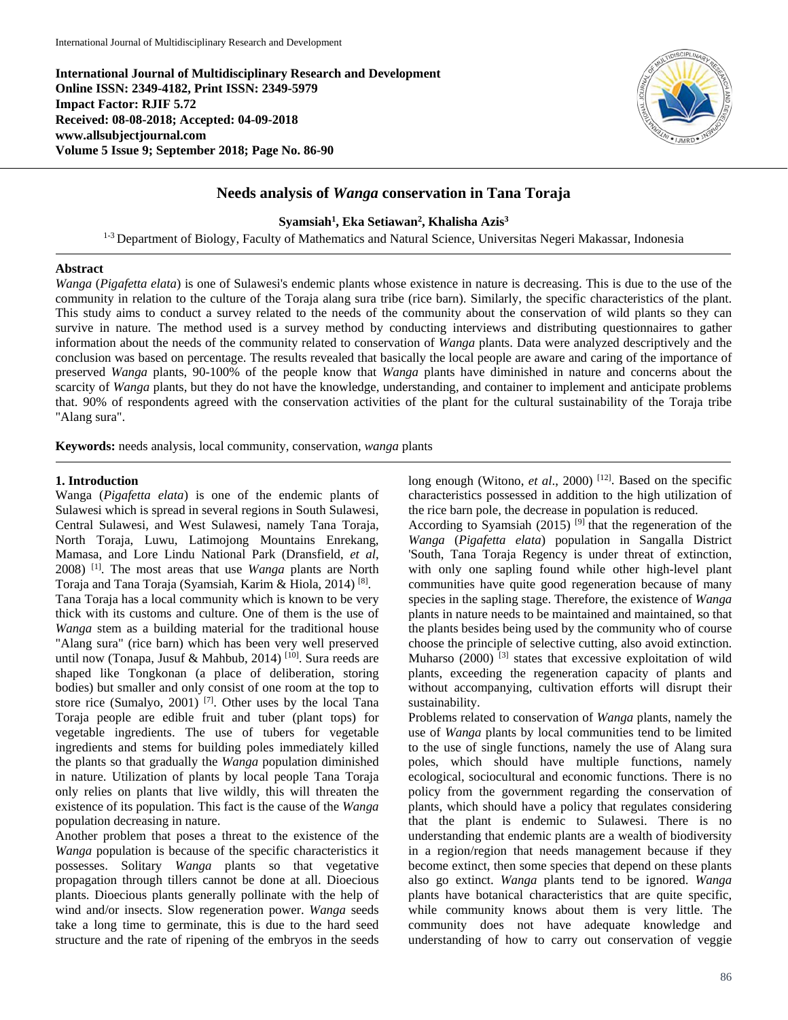**International Journal of Multidisciplinary Research and Development Online ISSN: 2349-4182, Print ISSN: 2349-5979 Impact Factor: RJIF 5.72 Received: 08-08-2018; Accepted: 04-09-2018 www.allsubjectjournal.com Volume 5 Issue 9; September 2018; Page No. 86-90**



# **Needs analysis of** *Wanga* **conservation in Tana Toraja**

**Syamsiah1 , Eka Setiawan2 , Khalisha Azis3**

<sup>1-3</sup> Department of Biology, Faculty of Mathematics and Natural Science, Universitas Negeri Makassar, Indonesia

#### **Abstract**

*Wanga* (*Pigafetta elata*) is one of Sulawesi's endemic plants whose existence in nature is decreasing. This is due to the use of the community in relation to the culture of the Toraja alang sura tribe (rice barn). Similarly, the specific characteristics of the plant. This study aims to conduct a survey related to the needs of the community about the conservation of wild plants so they can survive in nature. The method used is a survey method by conducting interviews and distributing questionnaires to gather information about the needs of the community related to conservation of *Wanga* plants. Data were analyzed descriptively and the conclusion was based on percentage. The results revealed that basically the local people are aware and caring of the importance of preserved *Wanga* plants, 90-100% of the people know that *Wanga* plants have diminished in nature and concerns about the scarcity of *Wanga* plants, but they do not have the knowledge, understanding, and container to implement and anticipate problems that. 90% of respondents agreed with the conservation activities of the plant for the cultural sustainability of the Toraja tribe "Alang sura".

**Keywords:** needs analysis, local community, conservation, *wanga* plants

#### **1. Introduction**

Wanga (*Pigafetta elata*) is one of the endemic plants of Sulawesi which is spread in several regions in South Sulawesi, Central Sulawesi, and West Sulawesi, namely Tana Toraja, North Toraja, Luwu, Latimojong Mountains Enrekang, Mamasa, and Lore Lindu National Park (Dransfield, *et al*, 2008) [1]. The most areas that use *Wanga* plants are North Toraja and Tana Toraja (Syamsiah, Karim & Hiola, 2014) [8]. Tana Toraja has a local community which is known to be very thick with its customs and culture. One of them is the use of *Wanga* stem as a building material for the traditional house "Alang sura" (rice barn) which has been very well preserved until now (Tonapa, Jusuf & Mahbub, 2014)<sup>[10]</sup>. Sura reeds are shaped like Tongkonan (a place of deliberation, storing bodies) but smaller and only consist of one room at the top to store rice (Sumalyo, 2001)<sup>[7]</sup>. Other uses by the local Tana Toraja people are edible fruit and tuber (plant tops) for vegetable ingredients. The use of tubers for vegetable ingredients and stems for building poles immediately killed the plants so that gradually the *Wanga* population diminished in nature. Utilization of plants by local people Tana Toraja only relies on plants that live wildly, this will threaten the existence of its population. This fact is the cause of the *Wanga* population decreasing in nature.

Another problem that poses a threat to the existence of the *Wanga* population is because of the specific characteristics it possesses. Solitary *Wanga* plants so that vegetative propagation through tillers cannot be done at all. Dioecious plants. Dioecious plants generally pollinate with the help of wind and/or insects. Slow regeneration power. *Wanga* seeds take a long time to germinate, this is due to the hard seed structure and the rate of ripening of the embryos in the seeds long enough (Witono, *et al.*, 2000)<sup>[12]</sup>. Based on the specific characteristics possessed in addition to the high utilization of the rice barn pole, the decrease in population is reduced.

According to Syamsiah (2015)  $^{[9]}$  that the regeneration of the *Wanga* (*Pigafetta elata*) population in Sangalla District 'South, Tana Toraja Regency is under threat of extinction, with only one sapling found while other high-level plant communities have quite good regeneration because of many species in the sapling stage. Therefore, the existence of *Wanga* plants in nature needs to be maintained and maintained, so that the plants besides being used by the community who of course choose the principle of selective cutting, also avoid extinction. Muharso  $(2000)$ <sup>[3]</sup> states that excessive exploitation of wild plants, exceeding the regeneration capacity of plants and without accompanying, cultivation efforts will disrupt their sustainability.

Problems related to conservation of *Wanga* plants, namely the use of *Wanga* plants by local communities tend to be limited to the use of single functions, namely the use of Alang sura poles, which should have multiple functions, namely ecological, sociocultural and economic functions. There is no policy from the government regarding the conservation of plants, which should have a policy that regulates considering that the plant is endemic to Sulawesi. There is no understanding that endemic plants are a wealth of biodiversity in a region/region that needs management because if they become extinct, then some species that depend on these plants also go extinct. *Wanga* plants tend to be ignored. *Wanga* plants have botanical characteristics that are quite specific, while community knows about them is very little. The community does not have adequate knowledge and understanding of how to carry out conservation of veggie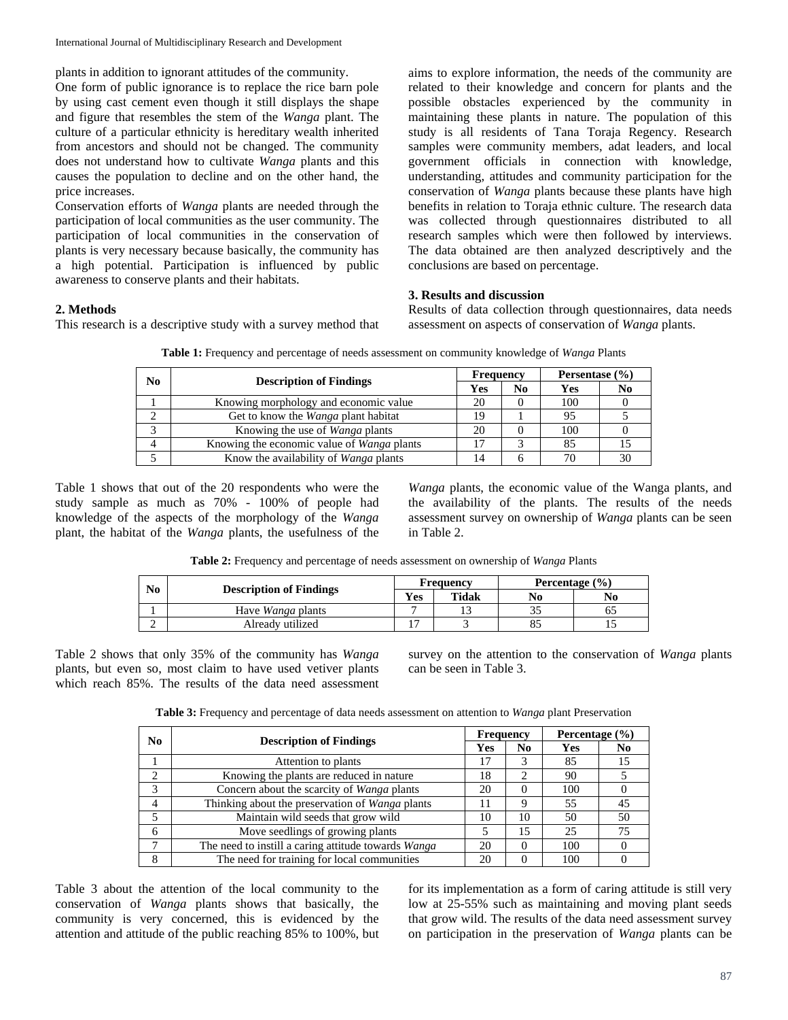plants in addition to ignorant attitudes of the community.

One form of public ignorance is to replace the rice barn pole by using cast cement even though it still displays the shape and figure that resembles the stem of the *Wanga* plant. The culture of a particular ethnicity is hereditary wealth inherited from ancestors and should not be changed. The community does not understand how to cultivate *Wanga* plants and this causes the population to decline and on the other hand, the price increases.

Conservation efforts of *Wanga* plants are needed through the participation of local communities as the user community. The participation of local communities in the conservation of plants is very necessary because basically, the community has a high potential. Participation is influenced by public awareness to conserve plants and their habitats.

aims to explore information, the needs of the community are related to their knowledge and concern for plants and the possible obstacles experienced by the community in maintaining these plants in nature. The population of this study is all residents of Tana Toraja Regency. Research samples were community members, adat leaders, and local government officials in connection with knowledge, understanding, attitudes and community participation for the conservation of *Wanga* plants because these plants have high benefits in relation to Toraja ethnic culture. The research data was collected through questionnaires distributed to all research samples which were then followed by interviews. The data obtained are then analyzed descriptively and the conclusions are based on percentage.

### **3. Results and discussion**

**2. Methods**

This research is a descriptive study with a survey method that

Results of data collection through questionnaires, data needs assessment on aspects of conservation of *Wanga* plants.

| No | <b>Description of Findings</b>               | <b>Frequency</b> |    | Persentase $(\% )$ |                |  |
|----|----------------------------------------------|------------------|----|--------------------|----------------|--|
|    |                                              | Yes              | No | <b>Yes</b>         | N <sub>0</sub> |  |
|    | Knowing morphology and economic value        | 20               |    | 100                |                |  |
|    | Get to know the Wanga plant habitat          | 19               |    | 95                 |                |  |
|    | Knowing the use of <i>Wanga</i> plants       | 20               |    | 100                |                |  |
|    | Knowing the economic value of Wanga plants   |                  |    | 85                 |                |  |
|    | Know the availability of <i>Wanga</i> plants | 14               |    |                    | 30             |  |

**Table 1:** Frequency and percentage of needs assessment on community knowledge of *Wanga* Plants

Table 1 shows that out of the 20 respondents who were the study sample as much as 70% - 100% of people had knowledge of the aspects of the morphology of the *Wanga* plant, the habitat of the *Wanga* plants, the usefulness of the

*Wanga* plants, the economic value of the Wanga plants, and the availability of the plants. The results of the needs assessment survey on ownership of *Wanga* plants can be seen in Table 2.

**Table 2:** Frequency and percentage of needs assessment on ownership of *Wanga* Plants

| No |                                | <b>Frequency</b> |       | Percentage $(\% )$ |    |  |
|----|--------------------------------|------------------|-------|--------------------|----|--|
|    | <b>Description of Findings</b> | Yes              | Tidak | No                 | No |  |
|    | Have <i>Wanga</i> plants       |                  |       | 33                 |    |  |
|    | Already utilized               |                  |       | 85                 |    |  |

Table 2 shows that only 35% of the community has *Wanga* plants, but even so, most claim to have used vetiver plants which reach 85%. The results of the data need assessment survey on the attention to the conservation of *Wanga* plants can be seen in Table 3.

**Table 3:** Frequency and percentage of data needs assessment on attention to *Wanga* plant Preservation

| N <sub>0</sub> | <b>Description of Findings</b>                      | <b>Frequency</b> |    | Percentage $(\% )$ |                |  |
|----------------|-----------------------------------------------------|------------------|----|--------------------|----------------|--|
|                |                                                     | Yes              | No | Yes                | N <sub>0</sub> |  |
|                | Attention to plants                                 | 17               | 3  | 85                 | 15             |  |
| ↑              | Knowing the plants are reduced in nature            | 18               | ∍  | 90                 |                |  |
| 3              | Concern about the scarcity of <i>Wanga</i> plants   | 20               | 0  | 100                |                |  |
| 4              | Thinking about the preservation of Wanga plants     |                  | 9  | 55                 | 45             |  |
| .5             | Maintain wild seeds that grow wild                  | 10               | 10 | 50                 | 50             |  |
| 6              | Move seedlings of growing plants                    |                  | 15 | 25                 | 75             |  |
|                | The need to instill a caring attitude towards Wanga | 20               | 0  | 100                |                |  |
| 8              | The need for training for local communities         | 20               | 0  | 100                |                |  |

Table 3 about the attention of the local community to the conservation of *Wanga* plants shows that basically, the community is very concerned, this is evidenced by the attention and attitude of the public reaching 85% to 100%, but for its implementation as a form of caring attitude is still very low at 25-55% such as maintaining and moving plant seeds that grow wild. The results of the data need assessment survey on participation in the preservation of *Wanga* plants can be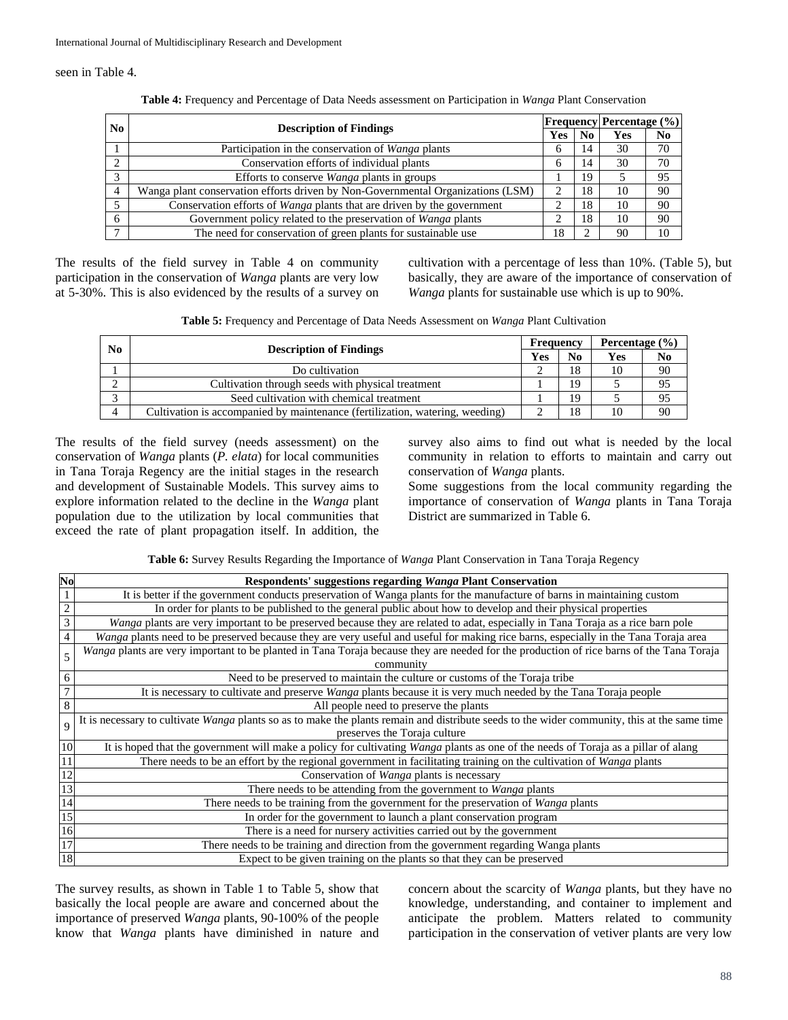seen in Table 4.

|                        | <b>Description of Findings</b>                                                  |              |                | <b>Frequency Percentage</b> (%) |    |
|------------------------|---------------------------------------------------------------------------------|--------------|----------------|---------------------------------|----|
| No.                    |                                                                                 |              | N <sub>0</sub> | Yes                             | N0 |
|                        | Participation in the conservation of <i>Wanga</i> plants                        | <sub>(</sub> | 14             | 30                              | 70 |
|                        | Conservation efforts of individual plants                                       | 6            | 14             | 30                              | 70 |
| $\mathbf{\mathcal{R}}$ | Efforts to conserve <i>Wanga</i> plants in groups                               |              | 19             |                                 | 95 |
|                        | Wanga plant conservation efforts driven by Non-Governmental Organizations (LSM) |              | 18             | 10                              | 90 |
|                        | Conservation efforts of Wanga plants that are driven by the government          |              | 18             | 10                              | 90 |
| 6                      | Government policy related to the preservation of Wanga plants                   | ◠            | 18             | 10                              | 90 |
|                        | The need for conservation of green plants for sustainable use                   | 18           |                | -90                             | 10 |

**Table 4:** Frequency and Percentage of Data Needs assessment on Participation in *Wanga* Plant Conservation

The results of the field survey in Table 4 on community participation in the conservation of *Wanga* plants are very low at 5-30%. This is also evidenced by the results of a survey on

cultivation with a percentage of less than 10%. (Table 5), but basically, they are aware of the importance of conservation of *Wanga* plants for sustainable use which is up to 90%.

| Table 5: Frequency and Percentage of Data Needs Assessment on Wanga Plant Cultivation |  |
|---------------------------------------------------------------------------------------|--|
|---------------------------------------------------------------------------------------|--|

| N <sub>0</sub> |                                                                              |     | Frequency      |     | Percentage $(\% )$ |  |
|----------------|------------------------------------------------------------------------------|-----|----------------|-----|--------------------|--|
|                | <b>Description of Findings</b>                                               | Yes | N <sub>0</sub> | Yes | N <sub>0</sub>     |  |
|                | Do cultivation                                                               |     | 18             | 10  | 90                 |  |
|                | Cultivation through seeds with physical treatment                            |     | 19             |     | 95                 |  |
|                | Seed cultivation with chemical treatment                                     |     | 19             |     | 95                 |  |
|                | Cultivation is accompanied by maintenance (fertilization, watering, weeding) |     | 18             | 10  | 90                 |  |

The results of the field survey (needs assessment) on the conservation of *Wanga* plants (*P. elata*) for local communities in Tana Toraja Regency are the initial stages in the research and development of Sustainable Models. This survey aims to explore information related to the decline in the *Wanga* plant population due to the utilization by local communities that exceed the rate of plant propagation itself. In addition, the

survey also aims to find out what is needed by the local community in relation to efforts to maintain and carry out conservation of *Wanga* plants.

Some suggestions from the local community regarding the importance of conservation of *Wanga* plants in Tana Toraja District are summarized in Table 6.

**Table 6:** Survey Results Regarding the Importance of *Wanga* Plant Conservation in Tana Toraja Regency

| No | Respondents' suggestions regarding Wanga Plant Conservation                                                                                  |
|----|----------------------------------------------------------------------------------------------------------------------------------------------|
|    | It is better if the government conducts preservation of Wanga plants for the manufacture of barns in maintaining custom                      |
|    | In order for plants to be published to the general public about how to develop and their physical properties                                 |
|    | Wanga plants are very important to be preserved because they are related to adat, especially in Tana Toraja as a rice barn pole              |
|    | Wanga plants need to be preserved because they are very useful and useful for making rice barns, especially in the Tana Toraja area          |
|    | Wanga plants are very important to be planted in Tana Toraja because they are needed for the production of rice barns of the Tana Toraja     |
|    | community                                                                                                                                    |
|    | Need to be preserved to maintain the culture or customs of the Toraja tribe                                                                  |
|    | It is necessary to cultivate and preserve Wanga plants because it is very much needed by the Tana Toraja people                              |
|    | All people need to preserve the plants                                                                                                       |
|    | It is necessary to cultivate Wanga plants so as to make the plants remain and distribute seeds to the wider community, this at the same time |
|    | preserves the Toraja culture                                                                                                                 |
| 10 | It is hoped that the government will make a policy for cultivating Wanga plants as one of the needs of Toraja as a pillar of alang           |
|    | There needs to be an effort by the regional government in facilitating training on the cultivation of Wanga plants                           |
|    | Conservation of <i>Wanga</i> plants is necessary                                                                                             |
|    | There needs to be attending from the government to Wanga plants                                                                              |
| 14 | There needs to be training from the government for the preservation of <i>Wanga</i> plants                                                   |
| 15 | In order for the government to launch a plant conservation program                                                                           |
| 16 | There is a need for nursery activities carried out by the government                                                                         |
| 17 | There needs to be training and direction from the government regarding Wanga plants                                                          |
| 18 | Expect to be given training on the plants so that they can be preserved                                                                      |

The survey results, as shown in Table 1 to Table 5, show that basically the local people are aware and concerned about the importance of preserved *Wanga* plants, 90-100% of the people know that *Wanga* plants have diminished in nature and concern about the scarcity of *Wanga* plants, but they have no knowledge, understanding, and container to implement and anticipate the problem. Matters related to community participation in the conservation of vetiver plants are very low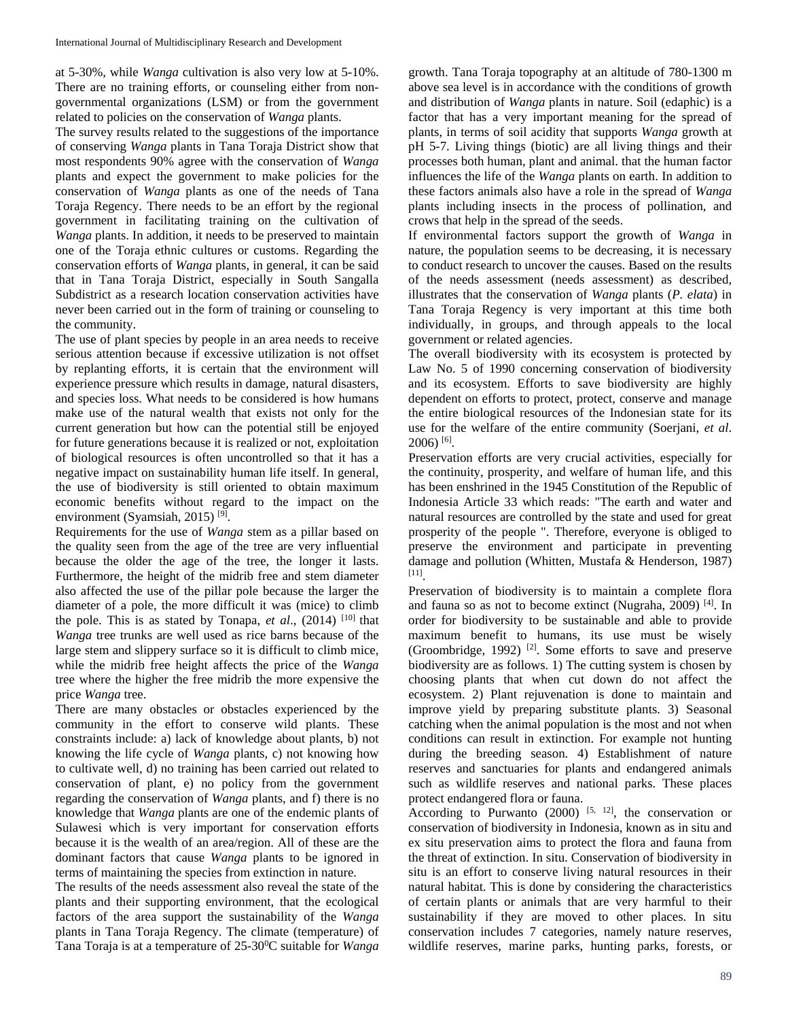at 5-30%, while *Wanga* cultivation is also very low at 5-10%. There are no training efforts, or counseling either from nongovernmental organizations (LSM) or from the government related to policies on the conservation of *Wanga* plants.

The survey results related to the suggestions of the importance of conserving *Wanga* plants in Tana Toraja District show that most respondents 90% agree with the conservation of *Wanga* plants and expect the government to make policies for the conservation of *Wanga* plants as one of the needs of Tana Toraja Regency. There needs to be an effort by the regional government in facilitating training on the cultivation of *Wanga* plants. In addition, it needs to be preserved to maintain one of the Toraja ethnic cultures or customs. Regarding the conservation efforts of *Wanga* plants, in general, it can be said that in Tana Toraja District, especially in South Sangalla Subdistrict as a research location conservation activities have never been carried out in the form of training or counseling to the community.

The use of plant species by people in an area needs to receive serious attention because if excessive utilization is not offset by replanting efforts, it is certain that the environment will experience pressure which results in damage, natural disasters, and species loss. What needs to be considered is how humans make use of the natural wealth that exists not only for the current generation but how can the potential still be enjoyed for future generations because it is realized or not, exploitation of biological resources is often uncontrolled so that it has a negative impact on sustainability human life itself. In general, the use of biodiversity is still oriented to obtain maximum economic benefits without regard to the impact on the environment (Syamsiah, 2015) [9].

Requirements for the use of *Wanga* stem as a pillar based on the quality seen from the age of the tree are very influential because the older the age of the tree, the longer it lasts. Furthermore, the height of the midrib free and stem diameter also affected the use of the pillar pole because the larger the diameter of a pole, the more difficult it was (mice) to climb the pole. This is as stated by Tonapa,  $et$  al.,  $(2014)$ <sup>[10]</sup> that *Wanga* tree trunks are well used as rice barns because of the large stem and slippery surface so it is difficult to climb mice, while the midrib free height affects the price of the *Wanga* tree where the higher the free midrib the more expensive the price *Wanga* tree.

There are many obstacles or obstacles experienced by the community in the effort to conserve wild plants. These constraints include: a) lack of knowledge about plants, b) not knowing the life cycle of *Wanga* plants, c) not knowing how to cultivate well, d) no training has been carried out related to conservation of plant, e) no policy from the government regarding the conservation of *Wanga* plants, and f) there is no knowledge that *Wanga* plants are one of the endemic plants of Sulawesi which is very important for conservation efforts because it is the wealth of an area/region. All of these are the dominant factors that cause *Wanga* plants to be ignored in terms of maintaining the species from extinction in nature.

The results of the needs assessment also reveal the state of the plants and their supporting environment, that the ecological factors of the area support the sustainability of the *Wanga* plants in Tana Toraja Regency. The climate (temperature) of Tana Toraja is at a temperature of 25-30<sup>o</sup>C suitable for *Wanga* 

growth. Tana Toraja topography at an altitude of 780-1300 m above sea level is in accordance with the conditions of growth and distribution of *Wanga* plants in nature. Soil (edaphic) is a factor that has a very important meaning for the spread of plants, in terms of soil acidity that supports *Wanga* growth at pH 5-7. Living things (biotic) are all living things and their processes both human, plant and animal. that the human factor influences the life of the *Wanga* plants on earth. In addition to these factors animals also have a role in the spread of *Wanga* plants including insects in the process of pollination, and crows that help in the spread of the seeds.

If environmental factors support the growth of *Wanga* in nature, the population seems to be decreasing, it is necessary to conduct research to uncover the causes. Based on the results of the needs assessment (needs assessment) as described, illustrates that the conservation of *Wanga* plants (*P. elata*) in Tana Toraja Regency is very important at this time both individually, in groups, and through appeals to the local government or related agencies.

The overall biodiversity with its ecosystem is protected by Law No. 5 of 1990 concerning conservation of biodiversity and its ecosystem. Efforts to save biodiversity are highly dependent on efforts to protect, protect, conserve and manage the entire biological resources of the Indonesian state for its use for the welfare of the entire community (Soerjani, *et al*.  $2006$ ) [6].

Preservation efforts are very crucial activities, especially for the continuity, prosperity, and welfare of human life, and this has been enshrined in the 1945 Constitution of the Republic of Indonesia Article 33 which reads: "The earth and water and natural resources are controlled by the state and used for great prosperity of the people ". Therefore, everyone is obliged to preserve the environment and participate in preventing damage and pollution (Whitten, Mustafa & Henderson, 1987) [11].

Preservation of biodiversity is to maintain a complete flora and fauna so as not to become extinct (Nugraha, 2009) [4]. In order for biodiversity to be sustainable and able to provide maximum benefit to humans, its use must be wisely (Groombridge, 1992) [2]. Some efforts to save and preserve biodiversity are as follows. 1) The cutting system is chosen by choosing plants that when cut down do not affect the ecosystem. 2) Plant rejuvenation is done to maintain and improve yield by preparing substitute plants. 3) Seasonal catching when the animal population is the most and not when conditions can result in extinction. For example not hunting during the breeding season. 4) Establishment of nature reserves and sanctuaries for plants and endangered animals such as wildlife reserves and national parks. These places protect endangered flora or fauna.

According to Purwanto  $(2000)$  <sup>[5, 12]</sup>, the conservation or conservation of biodiversity in Indonesia, known as in situ and ex situ preservation aims to protect the flora and fauna from the threat of extinction. In situ. Conservation of biodiversity in situ is an effort to conserve living natural resources in their natural habitat. This is done by considering the characteristics of certain plants or animals that are very harmful to their sustainability if they are moved to other places. In situ conservation includes 7 categories, namely nature reserves, wildlife reserves, marine parks, hunting parks, forests, or